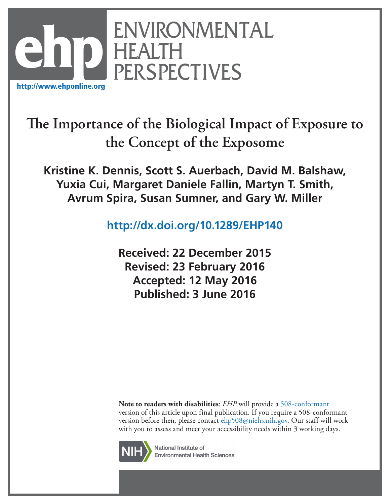

**The Importance of the Biological Impact of Exposure to the Concept of the Exposome**

**Kristine K. Dennis, Scott S. Auerbach, David M. Balshaw, Yuxia Cui, Margaret Daniele Fallin, Martyn T. Smith, Avrum Spira, Susan Sumner, and Gary W. Miller**

**<http://dx.doi.org/10.1289/EHP140>**

**Received: 22 December 2015 Revised: 23 February 2016 Accepted: 12 May 2016 Published: 3 June 2016**

**Note to readers with disabilities**: *EHP* will provide a [508-conformant](http://ehp.niehs.nih.gov/accessibility/) version of this article upon final publication. If you require a 508-conformant version before then, please contact [ehp508@niehs.nih.gov](mailto:ehp508%40niehs.nih.gov?subject=). Our staff will work with you to assess and meet your accessibility needs within 3 working days.



National Institute of **Environmental Health Sciences**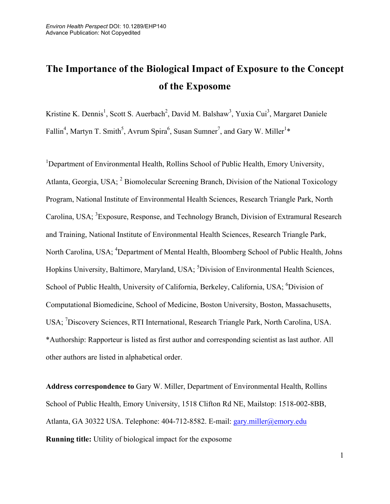# **The Importance of the Biological Impact of Exposure to the Concept of the Exposome**

Kristine K. Dennis<sup>1</sup>, Scott S. Auerbach<sup>2</sup>, David M. Balshaw<sup>3</sup>, Yuxia Cui<sup>3</sup>, Margaret Daniele Fallin<sup>4</sup>, Martyn T. Smith<sup>5</sup>, Avrum Spira<sup>6</sup>, Susan Sumner<sup>7</sup>, and Gary W. Miller<sup>1\*</sup>

<sup>1</sup>Department of Environmental Health, Rollins School of Public Health, Emory University, Atlanta, Georgia, USA; 2 Biomolecular Screening Branch, Division of the National Toxicology Program, National Institute of Environmental Health Sciences, Research Triangle Park, North Carolina, USA; <sup>3</sup> Exposure, Response, and Technology Branch, Division of Extramural Research and Training, National Institute of Environmental Health Sciences, Research Triangle Park, North Carolina, USA; <sup>4</sup>Department of Mental Health, Bloomberg School of Public Health, Johns Hopkins University, Baltimore, Maryland, USA; <sup>5</sup>Division of Environmental Health Sciences, School of Public Health, University of California, Berkeley, California, USA; <sup>6</sup>Division of Computational Biomedicine, School of Medicine, Boston University, Boston, Massachusetts, USA; <sup>7</sup>Discovery Sciences, RTI International, Research Triangle Park, North Carolina, USA. \*Authorship: Rapporteur is listed as first author and corresponding scientist as last author. All other authors are listed in alphabetical order.

**Address correspondence to** Gary W. Miller, Department of Environmental Health, Rollins School of Public Health, Emory University, 1518 Clifton Rd NE, Mailstop: 1518-002-8BB, Atlanta, GA 30322 USA. Telephone: 404-712-8582. E-mail: gary.miller@emory.edu **Running title:** Utility of biological impact for the exposome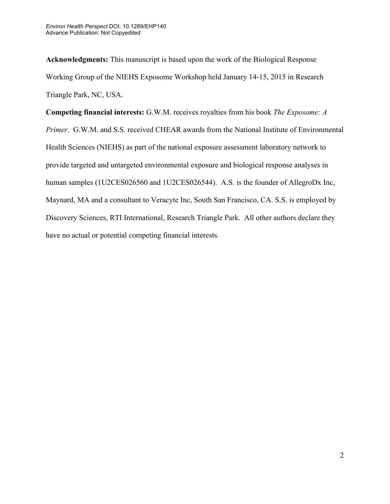**Acknowledgments:** This manuscript is based upon the work of the Biological Response Working Group of the NIEHS Exposome Workshop held January 14-15, 2015 in Research Triangle Park, NC, USA.

**Competing financial interests:** G.W.M. receives royalties from his book *The Exposome: A Primer*. G.W.M. and S.S. received CHEAR awards from the National Institute of Environmental Health Sciences (NIEHS) as part of the national exposure assessment laboratory network to provide targeted and untargeted environmental exposure and biological response analyses in human samples (1U2CES026560 and 1U2CES026544). A.S. is the founder of AllegroDx Inc, Maynard, MA and a consultant to Veracyte Inc, South San Francisco, CA. S.S. is employed by Discovery Sciences, RTI International, Research Triangle Park. All other authors declare they have no actual or potential competing financial interests.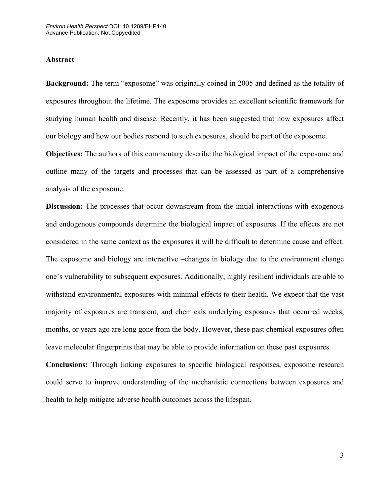## **Abstract**

**Background:** The term "exposome" was originally coined in 2005 and defined as the totality of exposures throughout the lifetime. The exposome provides an excellent scientific framework for studying human health and disease. Recently, it has been suggested that how exposures affect our biology and how our bodies respond to such exposures, should be part of the exposome.

**Objectives:** The authors of this commentary describe the biological impact of the exposome and outline many of the targets and processes that can be assessed as part of a comprehensive analysis of the exposome.

**Discussion:** The processes that occur downstream from the initial interactions with exogenous and endogenous compounds determine the biological impact of exposures. If the effects are not considered in the same context as the exposures it will be difficult to determine cause and effect. The exposome and biology are interactive –changes in biology due to the environment change one's vulnerability to subsequent exposures. Additionally, highly resilient individuals are able to withstand environmental exposures with minimal effects to their health. We expect that the vast majority of exposures are transient, and chemicals underlying exposures that occurred weeks, months, or years ago are long gone from the body. However, these past chemical exposures often leave molecular fingerprints that may be able to provide information on these past exposures.

**Conclusions:** Through linking exposures to specific biological responses, exposome research could serve to improve understanding of the mechanistic connections between exposures and health to help mitigate adverse health outcomes across the lifespan.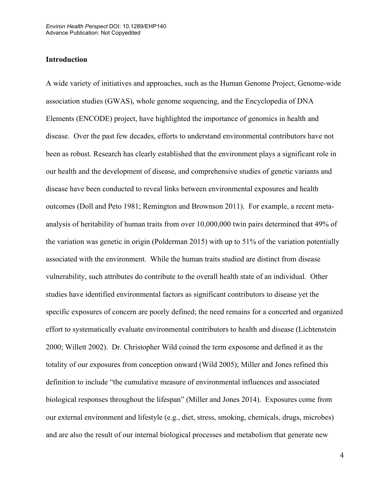## **Introduction**

A wide variety of initiatives and approaches, such as the Human Genome Project, Genome-wide association studies (GWAS), whole genome sequencing, and the Encyclopedia of DNA Elements (ENCODE) project, have highlighted the importance of genomics in health and disease. Over the past few decades, efforts to understand environmental contributors have not been as robust. Research has clearly established that the environment plays a significant role in our health and the development of disease, and comprehensive studies of genetic variants and disease have been conducted to reveal links between environmental exposures and health outcomes (Doll and Peto 1981; Remington and Brownson 2011). For example, a recent metaanalysis of heritability of human traits from over 10,000,000 twin pairs determined that 49% of the variation was genetic in origin (Polderman 2015) with up to 51% of the variation potentially associated with the environment. While the human traits studied are distinct from disease vulnerability, such attributes do contribute to the overall health state of an individual. Other studies have identified environmental factors as significant contributors to disease yet the specific exposures of concern are poorly defined; the need remains for a concerted and organized effort to systematically evaluate environmental contributors to health and disease (Lichtenstein 2000; Willett 2002). Dr. Christopher Wild coined the term exposome and defined it as the totality of our exposures from conception onward (Wild 2005); Miller and Jones refined this definition to include "the cumulative measure of environmental influences and associated biological responses throughout the lifespan" (Miller and Jones 2014). Exposures come from our external environment and lifestyle (e.g., diet, stress, smoking, chemicals, drugs, microbes) and are also the result of our internal biological processes and metabolism that generate new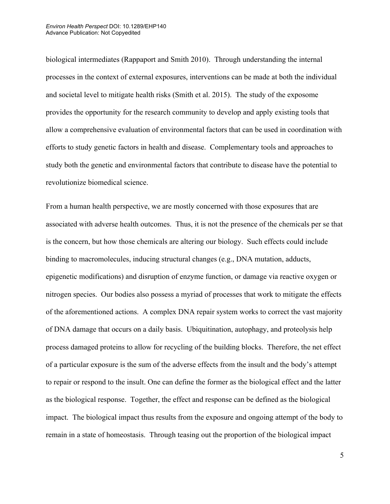biological intermediates (Rappaport and Smith 2010). Through understanding the internal processes in the context of external exposures, interventions can be made at both the individual and societal level to mitigate health risks (Smith et al. 2015). The study of the exposome provides the opportunity for the research community to develop and apply existing tools that allow a comprehensive evaluation of environmental factors that can be used in coordination with efforts to study genetic factors in health and disease. Complementary tools and approaches to study both the genetic and environmental factors that contribute to disease have the potential to revolutionize biomedical science.

From a human health perspective, we are mostly concerned with those exposures that are associated with adverse health outcomes. Thus, it is not the presence of the chemicals per se that is the concern, but how those chemicals are altering our biology. Such effects could include binding to macromolecules, inducing structural changes (e.g., DNA mutation, adducts, epigenetic modifications) and disruption of enzyme function, or damage via reactive oxygen or nitrogen species. Our bodies also possess a myriad of processes that work to mitigate the effects of the aforementioned actions. A complex DNA repair system works to correct the vast majority of DNA damage that occurs on a daily basis. Ubiquitination, autophagy, and proteolysis help process damaged proteins to allow for recycling of the building blocks. Therefore, the net effect of a particular exposure is the sum of the adverse effects from the insult and the body's attempt to repair or respond to the insult. One can define the former as the biological effect and the latter as the biological response. Together, the effect and response can be defined as the biological impact. The biological impact thus results from the exposure and ongoing attempt of the body to remain in a state of homeostasis. Through teasing out the proportion of the biological impact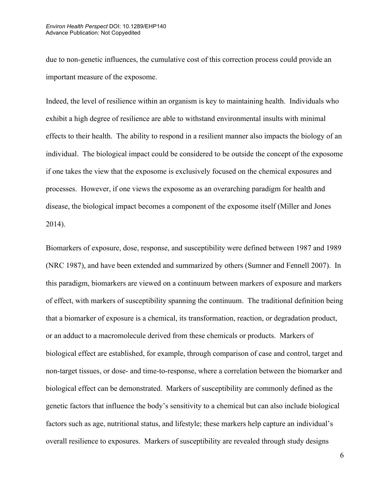due to non-genetic influences, the cumulative cost of this correction process could provide an important measure of the exposome.

Indeed, the level of resilience within an organism is key to maintaining health. Individuals who exhibit a high degree of resilience are able to withstand environmental insults with minimal effects to their health. The ability to respond in a resilient manner also impacts the biology of an individual. The biological impact could be considered to be outside the concept of the exposome if one takes the view that the exposome is exclusively focused on the chemical exposures and processes. However, if one views the exposome as an overarching paradigm for health and disease, the biological impact becomes a component of the exposome itself (Miller and Jones 2014).

Biomarkers of exposure, dose, response, and susceptibility were defined between 1987 and 1989 (NRC 1987), and have been extended and summarized by others (Sumner and Fennell 2007). In this paradigm, biomarkers are viewed on a continuum between markers of exposure and markers of effect, with markers of susceptibility spanning the continuum. The traditional definition being that a biomarker of exposure is a chemical, its transformation, reaction, or degradation product, or an adduct to a macromolecule derived from these chemicals or products. Markers of biological effect are established, for example, through comparison of case and control, target and non-target tissues, or dose- and time-to-response, where a correlation between the biomarker and biological effect can be demonstrated. Markers of susceptibility are commonly defined as the genetic factors that influence the body's sensitivity to a chemical but can also include biological factors such as age, nutritional status, and lifestyle; these markers help capture an individual's overall resilience to exposures. Markers of susceptibility are revealed through study designs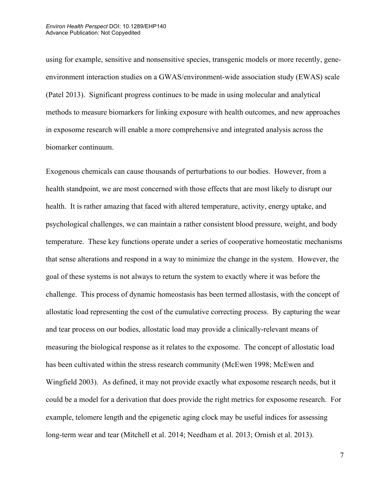using for example, sensitive and nonsensitive species, transgenic models or more recently, geneenvironment interaction studies on a GWAS/environment-wide association study (EWAS) scale (Patel 2013). Significant progress continues to be made in using molecular and analytical methods to measure biomarkers for linking exposure with health outcomes, and new approaches in exposome research will enable a more comprehensive and integrated analysis across the biomarker continuum.

Exogenous chemicals can cause thousands of perturbations to our bodies. However, from a health standpoint, we are most concerned with those effects that are most likely to disrupt our health. It is rather amazing that faced with altered temperature, activity, energy uptake, and psychological challenges, we can maintain a rather consistent blood pressure, weight, and body temperature. These key functions operate under a series of cooperative homeostatic mechanisms that sense alterations and respond in a way to minimize the change in the system. However, the goal of these systems is not always to return the system to exactly where it was before the challenge. This process of dynamic homeostasis has been termed allostasis, with the concept of allostatic load representing the cost of the cumulative correcting process. By capturing the wear and tear process on our bodies, allostatic load may provide a clinically-relevant means of measuring the biological response as it relates to the exposome. The concept of allostatic load has been cultivated within the stress research community (McEwen 1998; McEwen and Wingfield 2003). As defined, it may not provide exactly what exposome research needs, but it could be a model for a derivation that does provide the right metrics for exposome research. For example, telomere length and the epigenetic aging clock may be useful indices for assessing long-term wear and tear (Mitchell et al. 2014; Needham et al. 2013; Ornish et al. 2013).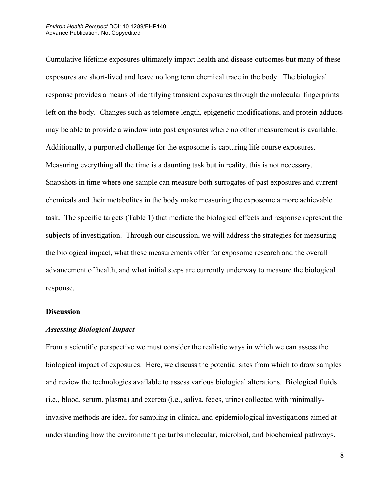Cumulative lifetime exposures ultimately impact health and disease outcomes but many of these exposures are short-lived and leave no long term chemical trace in the body. The biological response provides a means of identifying transient exposures through the molecular fingerprints left on the body. Changes such as telomere length, epigenetic modifications, and protein adducts may be able to provide a window into past exposures where no other measurement is available. Additionally, a purported challenge for the exposome is capturing life course exposures. Measuring everything all the time is a daunting task but in reality, this is not necessary. Snapshots in time where one sample can measure both surrogates of past exposures and current chemicals and their metabolites in the body make measuring the exposome a more achievable task. The specific targets (Table 1) that mediate the biological effects and response represent the subjects of investigation. Through our discussion, we will address the strategies for measuring the biological impact, what these measurements offer for exposome research and the overall advancement of health, and what initial steps are currently underway to measure the biological response.

## **Discussion**

## *Assessing Biological Impact*

From a scientific perspective we must consider the realistic ways in which we can assess the biological impact of exposures. Here, we discuss the potential sites from which to draw samples and review the technologies available to assess various biological alterations. Biological fluids (i.e., blood, serum, plasma) and excreta (i.e., saliva, feces, urine) collected with minimallyinvasive methods are ideal for sampling in clinical and epidemiological investigations aimed at understanding how the environment perturbs molecular, microbial, and biochemical pathways.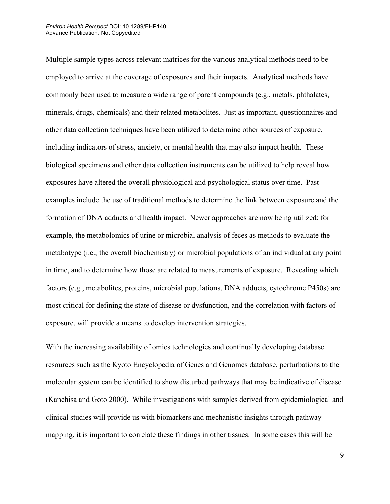Multiple sample types across relevant matrices for the various analytical methods need to be employed to arrive at the coverage of exposures and their impacts. Analytical methods have commonly been used to measure a wide range of parent compounds (e.g., metals, phthalates, minerals, drugs, chemicals) and their related metabolites. Just as important, questionnaires and other data collection techniques have been utilized to determine other sources of exposure, including indicators of stress, anxiety, or mental health that may also impact health. These biological specimens and other data collection instruments can be utilized to help reveal how exposures have altered the overall physiological and psychological status over time. Past examples include the use of traditional methods to determine the link between exposure and the formation of DNA adducts and health impact. Newer approaches are now being utilized: for example, the metabolomics of urine or microbial analysis of feces as methods to evaluate the metabotype (i.e., the overall biochemistry) or microbial populations of an individual at any point in time, and to determine how those are related to measurements of exposure. Revealing which factors (e.g., metabolites, proteins, microbial populations, DNA adducts, cytochrome P450s) are most critical for defining the state of disease or dysfunction, and the correlation with factors of exposure, will provide a means to develop intervention strategies.

With the increasing availability of omics technologies and continually developing database resources such as the Kyoto Encyclopedia of Genes and Genomes database, perturbations to the molecular system can be identified to show disturbed pathways that may be indicative of disease (Kanehisa and Goto 2000). While investigations with samples derived from epidemiological and clinical studies will provide us with biomarkers and mechanistic insights through pathway mapping, it is important to correlate these findings in other tissues. In some cases this will be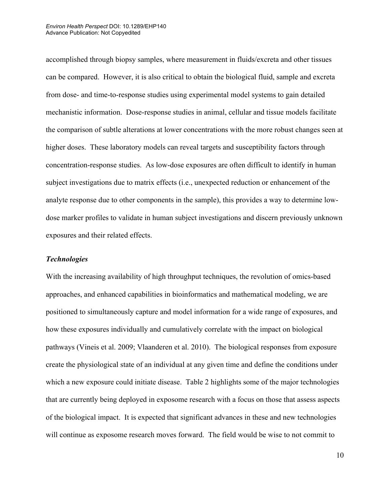accomplished through biopsy samples, where measurement in fluids/excreta and other tissues can be compared. However, it is also critical to obtain the biological fluid, sample and excreta from dose- and time-to-response studies using experimental model systems to gain detailed mechanistic information. Dose-response studies in animal, cellular and tissue models facilitate the comparison of subtle alterations at lower concentrations with the more robust changes seen at higher doses. These laboratory models can reveal targets and susceptibility factors through concentration-response studies. As low-dose exposures are often difficult to identify in human subject investigations due to matrix effects (i.e., unexpected reduction or enhancement of the analyte response due to other components in the sample), this provides a way to determine lowdose marker profiles to validate in human subject investigations and discern previously unknown exposures and their related effects.

## *Technologies*

With the increasing availability of high throughput techniques, the revolution of omics-based approaches, and enhanced capabilities in bioinformatics and mathematical modeling, we are positioned to simultaneously capture and model information for a wide range of exposures, and how these exposures individually and cumulatively correlate with the impact on biological pathways (Vineis et al. 2009; Vlaanderen et al. 2010). The biological responses from exposure create the physiological state of an individual at any given time and define the conditions under which a new exposure could initiate disease. Table 2 highlights some of the major technologies that are currently being deployed in exposome research with a focus on those that assess aspects of the biological impact. It is expected that significant advances in these and new technologies will continue as exposome research moves forward. The field would be wise to not commit to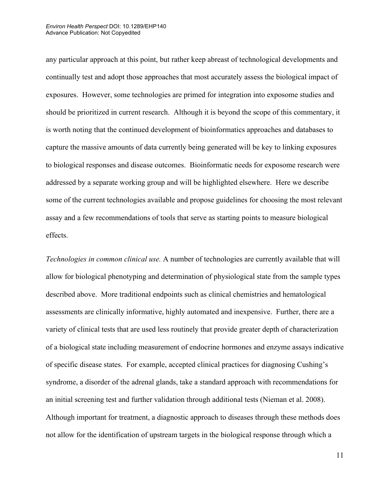#### *Environ Health Perspect* DOI: 10.1289/EHP140 Advance Publication: Not Copyedited

any particular approach at this point, but rather keep abreast of technological developments and continually test and adopt those approaches that most accurately assess the biological impact of exposures. However, some technologies are primed for integration into exposome studies and should be prioritized in current research. Although it is beyond the scope of this commentary, it is worth noting that the continued development of bioinformatics approaches and databases to capture the massive amounts of data currently being generated will be key to linking exposures to biological responses and disease outcomes. Bioinformatic needs for exposome research were addressed by a separate working group and will be highlighted elsewhere. Here we describe some of the current technologies available and propose guidelines for choosing the most relevant assay and a few recommendations of tools that serve as starting points to measure biological effects.

*Technologies in common clinical use.* A number of technologies are currently available that will allow for biological phenotyping and determination of physiological state from the sample types described above. More traditional endpoints such as clinical chemistries and hematological assessments are clinically informative, highly automated and inexpensive. Further, there are a variety of clinical tests that are used less routinely that provide greater depth of characterization of a biological state including measurement of endocrine hormones and enzyme assays indicative of specific disease states. For example, accepted clinical practices for diagnosing Cushing's syndrome, a disorder of the adrenal glands, take a standard approach with recommendations for an initial screening test and further validation through additional tests (Nieman et al. 2008). Although important for treatment, a diagnostic approach to diseases through these methods does not allow for the identification of upstream targets in the biological response through which a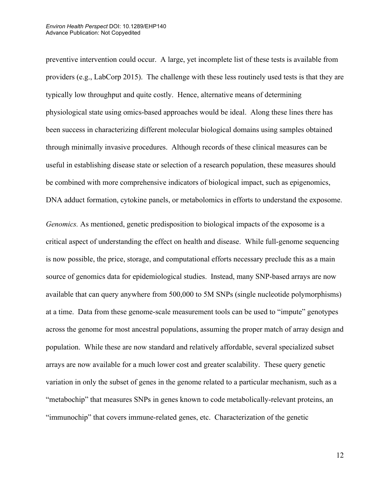preventive intervention could occur. A large, yet incomplete list of these tests is available from providers (e.g., LabCorp 2015). The challenge with these less routinely used tests is that they are typically low throughput and quite costly. Hence, alternative means of determining physiological state using omics-based approaches would be ideal. Along these lines there has been success in characterizing different molecular biological domains using samples obtained through minimally invasive procedures. Although records of these clinical measures can be useful in establishing disease state or selection of a research population, these measures should be combined with more comprehensive indicators of biological impact, such as epigenomics, DNA adduct formation, cytokine panels, or metabolomics in efforts to understand the exposome.

*Genomics.* As mentioned, genetic predisposition to biological impacts of the exposome is a critical aspect of understanding the effect on health and disease. While full-genome sequencing is now possible, the price, storage, and computational efforts necessary preclude this as a main source of genomics data for epidemiological studies. Instead, many SNP-based arrays are now available that can query anywhere from 500,000 to 5M SNPs (single nucleotide polymorphisms) at a time. Data from these genome-scale measurement tools can be used to "impute" genotypes across the genome for most ancestral populations, assuming the proper match of array design and population. While these are now standard and relatively affordable, several specialized subset arrays are now available for a much lower cost and greater scalability. These query genetic variation in only the subset of genes in the genome related to a particular mechanism, such as a "metabochip" that measures SNPs in genes known to code metabolically-relevant proteins, an "immunochip" that covers immune-related genes, etc. Characterization of the genetic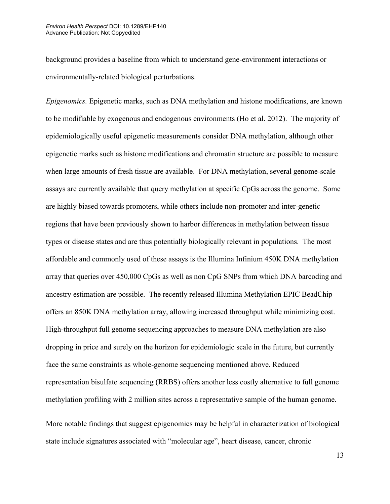background provides a baseline from which to understand gene-environment interactions or environmentally-related biological perturbations.

*Epigenomics.* Epigenetic marks, such as DNA methylation and histone modifications, are known to be modifiable by exogenous and endogenous environments (Ho et al. 2012). The majority of epidemiologically useful epigenetic measurements consider DNA methylation, although other epigenetic marks such as histone modifications and chromatin structure are possible to measure when large amounts of fresh tissue are available. For DNA methylation, several genome-scale assays are currently available that query methylation at specific CpGs across the genome. Some are highly biased towards promoters, while others include non-promoter and inter-genetic regions that have been previously shown to harbor differences in methylation between tissue types or disease states and are thus potentially biologically relevant in populations. The most affordable and commonly used of these assays is the Illumina Infinium 450K DNA methylation array that queries over 450,000 CpGs as well as non CpG SNPs from which DNA barcoding and ancestry estimation are possible. The recently released Illumina Methylation EPIC BeadChip offers an 850K DNA methylation array, allowing increased throughput while minimizing cost. High-throughput full genome sequencing approaches to measure DNA methylation are also dropping in price and surely on the horizon for epidemiologic scale in the future, but currently face the same constraints as whole-genome sequencing mentioned above. Reduced representation bisulfate sequencing (RRBS) offers another less costly alternative to full genome methylation profiling with 2 million sites across a representative sample of the human genome.

More notable findings that suggest epigenomics may be helpful in characterization of biological state include signatures associated with "molecular age", heart disease, cancer, chronic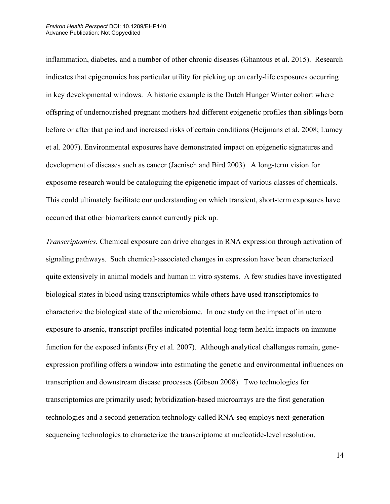#### *Environ Health Perspect* DOI: 10.1289/EHP140 Advance Publication: Not Copyedited

inflammation, diabetes, and a number of other chronic diseases (Ghantous et al. 2015). Research indicates that epigenomics has particular utility for picking up on early-life exposures occurring in key developmental windows. A historic example is the Dutch Hunger Winter cohort where offspring of undernourished pregnant mothers had different epigenetic profiles than siblings born before or after that period and increased risks of certain conditions (Heijmans et al. 2008; Lumey et al. 2007). Environmental exposures have demonstrated impact on epigenetic signatures and development of diseases such as cancer (Jaenisch and Bird 2003). A long-term vision for exposome research would be cataloguing the epigenetic impact of various classes of chemicals. This could ultimately facilitate our understanding on which transient, short-term exposures have occurred that other biomarkers cannot currently pick up.

*Transcriptomics.* Chemical exposure can drive changes in RNA expression through activation of signaling pathways. Such chemical-associated changes in expression have been characterized quite extensively in animal models and human in vitro systems. A few studies have investigated biological states in blood using transcriptomics while others have used transcriptomics to characterize the biological state of the microbiome. In one study on the impact of in utero exposure to arsenic, transcript profiles indicated potential long-term health impacts on immune function for the exposed infants (Fry et al. 2007). Although analytical challenges remain, geneexpression profiling offers a window into estimating the genetic and environmental influences on transcription and downstream disease processes (Gibson 2008). Two technologies for transcriptomics are primarily used; hybridization-based microarrays are the first generation technologies and a second generation technology called RNA-seq employs next-generation sequencing technologies to characterize the transcriptome at nucleotide-level resolution.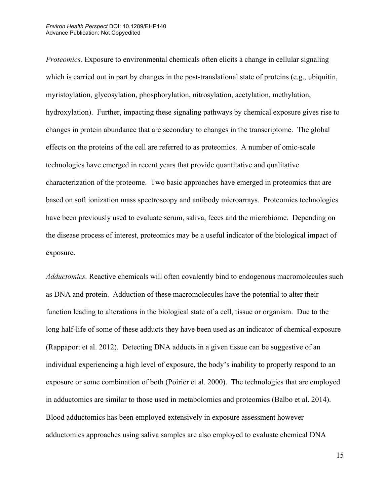*Proteomics.* Exposure to environmental chemicals often elicits a change in cellular signaling which is carried out in part by changes in the post-translational state of proteins (e.g., ubiquitin, myristoylation, glycosylation, phosphorylation, nitrosylation, acetylation, methylation, hydroxylation). Further, impacting these signaling pathways by chemical exposure gives rise to changes in protein abundance that are secondary to changes in the transcriptome. The global effects on the proteins of the cell are referred to as proteomics. A number of omic-scale technologies have emerged in recent years that provide quantitative and qualitative characterization of the proteome. Two basic approaches have emerged in proteomics that are based on soft ionization mass spectroscopy and antibody microarrays. Proteomics technologies have been previously used to evaluate serum, saliva, feces and the microbiome. Depending on the disease process of interest, proteomics may be a useful indicator of the biological impact of exposure.

*Adductomics.* Reactive chemicals will often covalently bind to endogenous macromolecules such as DNA and protein. Adduction of these macromolecules have the potential to alter their function leading to alterations in the biological state of a cell, tissue or organism. Due to the long half-life of some of these adducts they have been used as an indicator of chemical exposure (Rappaport et al. 2012). Detecting DNA adducts in a given tissue can be suggestive of an individual experiencing a high level of exposure, the body's inability to properly respond to an exposure or some combination of both (Poirier et al. 2000). The technologies that are employed in adductomics are similar to those used in metabolomics and proteomics (Balbo et al. 2014). Blood adductomics has been employed extensively in exposure assessment however adductomics approaches using saliva samples are also employed to evaluate chemical DNA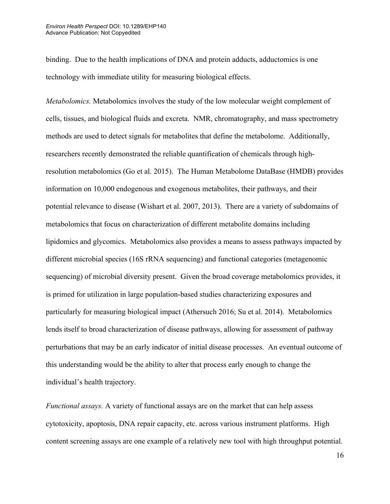binding. Due to the health implications of DNA and protein adducts, adductomics is one technology with immediate utility for measuring biological effects.

*Metabolomics.* Metabolomics involves the study of the low molecular weight complement of cells, tissues, and biological fluids and excreta. NMR, chromatography, and mass spectrometry methods are used to detect signals for metabolites that define the metabolome. Additionally, researchers recently demonstrated the reliable quantification of chemicals through highresolution metabolomics (Go et al. 2015). The Human Metabolome DataBase (HMDB) provides information on 10,000 endogenous and exogenous metabolites, their pathways, and their potential relevance to disease (Wishart et al. 2007, 2013). There are a variety of subdomains of metabolomics that focus on characterization of different metabolite domains including lipidomics and glycomics. Metabolomics also provides a means to assess pathways impacted by different microbial species (16S rRNA sequencing) and functional categories (metagenomic sequencing) of microbial diversity present. Given the broad coverage metabolomics provides, it is primed for utilization in large population-based studies characterizing exposures and particularly for measuring biological impact (Athersuch 2016; Su et al. 2014). Metabolomics lends itself to broad characterization of disease pathways, allowing for assessment of pathway perturbations that may be an early indicator of initial disease processes. An eventual outcome of this understanding would be the ability to alter that process early enough to change the individual's health trajectory.

*Functional assays.* A variety of functional assays are on the market that can help assess cytotoxicity, apoptosis, DNA repair capacity, etc. across various instrument platforms. High content screening assays are one example of a relatively new tool with high throughput potential.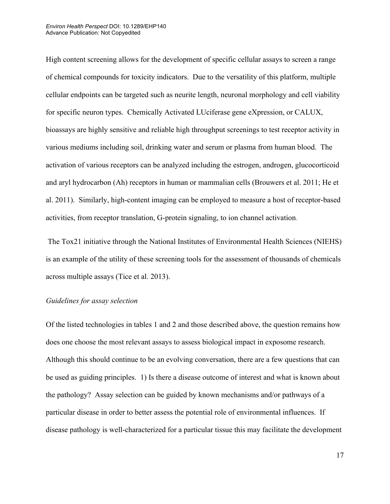High content screening allows for the development of specific cellular assays to screen a range of chemical compounds for toxicity indicators. Due to the versatility of this platform, multiple cellular endpoints can be targeted such as neurite length, neuronal morphology and cell viability for specific neuron types. Chemically Activated LUciferase gene eXpression, or CALUX, bioassays are highly sensitive and reliable high throughput screenings to test receptor activity in various mediums including soil, drinking water and serum or plasma from human blood. The activation of various receptors can be analyzed including the estrogen, androgen, glucocorticoid and aryl hydrocarbon (Ah) receptors in human or mammalian cells (Brouwers et al. 2011; He et al. 2011). Similarly, high-content imaging can be employed to measure a host of receptor-based activities, from receptor translation, G-protein signaling, to ion channel activation.

The Tox21 initiative through the National Institutes of Environmental Health Sciences (NIEHS) is an example of the utility of these screening tools for the assessment of thousands of chemicals across multiple assays (Tice et al. 2013).

## *Guidelines for assay selection*

Of the listed technologies in tables 1 and 2 and those described above, the question remains how does one choose the most relevant assays to assess biological impact in exposome research. Although this should continue to be an evolving conversation, there are a few questions that can be used as guiding principles. 1) Is there a disease outcome of interest and what is known about the pathology? Assay selection can be guided by known mechanisms and/or pathways of a particular disease in order to better assess the potential role of environmental influences. If disease pathology is well-characterized for a particular tissue this may facilitate the development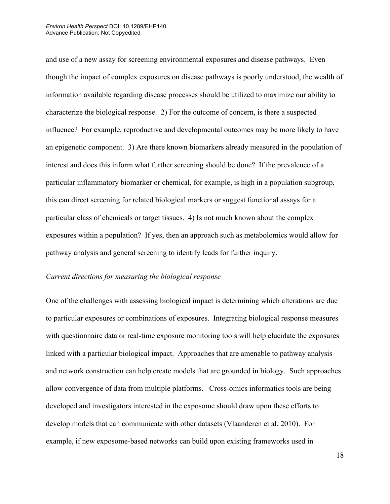#### *Environ Health Perspect* DOI: 10.1289/EHP140 Advance Publication: Not Copyedited

and use of a new assay for screening environmental exposures and disease pathways. Even though the impact of complex exposures on disease pathways is poorly understood, the wealth of information available regarding disease processes should be utilized to maximize our ability to characterize the biological response. 2) For the outcome of concern, is there a suspected influence? For example, reproductive and developmental outcomes may be more likely to have an epigenetic component. 3) Are there known biomarkers already measured in the population of interest and does this inform what further screening should be done? If the prevalence of a particular inflammatory biomarker or chemical, for example, is high in a population subgroup, this can direct screening for related biological markers or suggest functional assays for a particular class of chemicals or target tissues. 4) Is not much known about the complex exposures within a population? If yes, then an approach such as metabolomics would allow for pathway analysis and general screening to identify leads for further inquiry.

## *Current directions for measuring the biological response*

One of the challenges with assessing biological impact is determining which alterations are due to particular exposures or combinations of exposures. Integrating biological response measures with questionnaire data or real-time exposure monitoring tools will help elucidate the exposures linked with a particular biological impact. Approaches that are amenable to pathway analysis and network construction can help create models that are grounded in biology. Such approaches allow convergence of data from multiple platforms. Cross-omics informatics tools are being developed and investigators interested in the exposome should draw upon these efforts to develop models that can communicate with other datasets (Vlaanderen et al. 2010). For example, if new exposome-based networks can build upon existing frameworks used in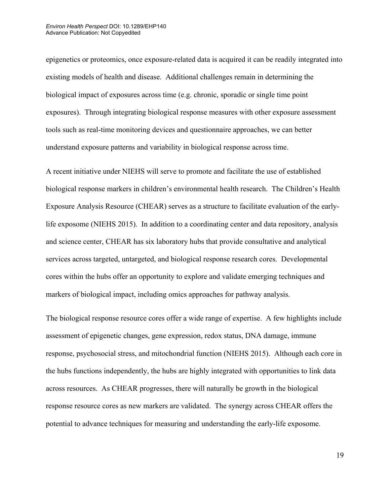epigenetics or proteomics, once exposure-related data is acquired it can be readily integrated into existing models of health and disease. Additional challenges remain in determining the biological impact of exposures across time (e.g. chronic, sporadic or single time point exposures). Through integrating biological response measures with other exposure assessment tools such as real-time monitoring devices and questionnaire approaches, we can better understand exposure patterns and variability in biological response across time.

A recent initiative under NIEHS will serve to promote and facilitate the use of established biological response markers in children's environmental health research. The Children's Health Exposure Analysis Resource (CHEAR) serves as a structure to facilitate evaluation of the earlylife exposome (NIEHS 2015). In addition to a coordinating center and data repository, analysis and science center, CHEAR has six laboratory hubs that provide consultative and analytical services across targeted, untargeted, and biological response research cores. Developmental cores within the hubs offer an opportunity to explore and validate emerging techniques and markers of biological impact, including omics approaches for pathway analysis.

The biological response resource cores offer a wide range of expertise. A few highlights include assessment of epigenetic changes, gene expression, redox status, DNA damage, immune response, psychosocial stress, and mitochondrial function (NIEHS 2015). Although each core in the hubs functions independently, the hubs are highly integrated with opportunities to link data across resources. As CHEAR progresses, there will naturally be growth in the biological response resource cores as new markers are validated. The synergy across CHEAR offers the potential to advance techniques for measuring and understanding the early-life exposome.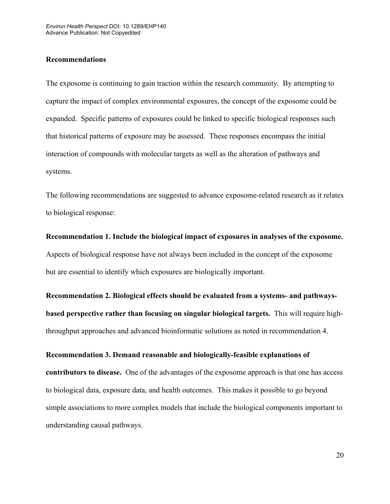## **Recommendations**

The exposome is continuing to gain traction within the research community. By attempting to capture the impact of complex environmental exposures, the concept of the exposome could be expanded. Specific patterns of exposures could be linked to specific biological responses such that historical patterns of exposure may be assessed. These responses encompass the initial interaction of compounds with molecular targets as well as the alteration of pathways and systems.

The following recommendations are suggested to advance exposome-related research as it relates to biological response:

**Recommendation 1. Include the biological impact of exposures in analyses of the exposome.** Aspects of biological response have not always been included in the concept of the exposome but are essential to identify which exposures are biologically important.

**Recommendation 2. Biological effects should be evaluated from a systems- and pathwaysbased perspective rather than focusing on singular biological targets.** This will require highthroughput approaches and advanced bioinformatic solutions as noted in recommendation 4.

**Recommendation 3. Demand reasonable and biologically-feasible explanations of contributors to disease.** One of the advantages of the exposome approach is that one has access to biological data, exposure data, and health outcomes. This makes it possible to go beyond simple associations to more complex models that include the biological components important to understanding causal pathways.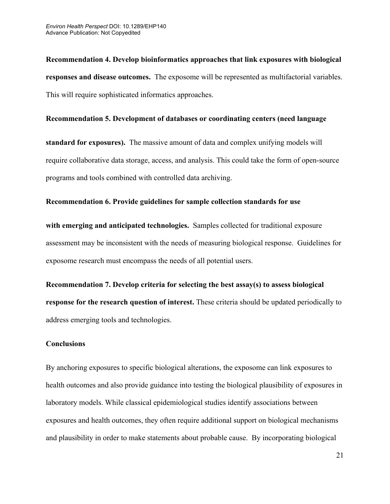**Recommendation 4. Develop bioinformatics approaches that link exposures with biological responses and disease outcomes.** The exposome will be represented as multifactorial variables. This will require sophisticated informatics approaches.

## **Recommendation 5. Development of databases or coordinating centers (need language**

**standard for exposures).** The massive amount of data and complex unifying models will require collaborative data storage, access, and analysis. This could take the form of open-source programs and tools combined with controlled data archiving.

## **Recommendation 6. Provide guidelines for sample collection standards for use**

**with emerging and anticipated technologies.** Samples collected for traditional exposure assessment may be inconsistent with the needs of measuring biological response. Guidelines for exposome research must encompass the needs of all potential users.

**Recommendation 7. Develop criteria for selecting the best assay(s) to assess biological response for the research question of interest.** These criteria should be updated periodically to address emerging tools and technologies.

## **Conclusions**

By anchoring exposures to specific biological alterations, the exposome can link exposures to health outcomes and also provide guidance into testing the biological plausibility of exposures in laboratory models. While classical epidemiological studies identify associations between exposures and health outcomes, they often require additional support on biological mechanisms and plausibility in order to make statements about probable cause. By incorporating biological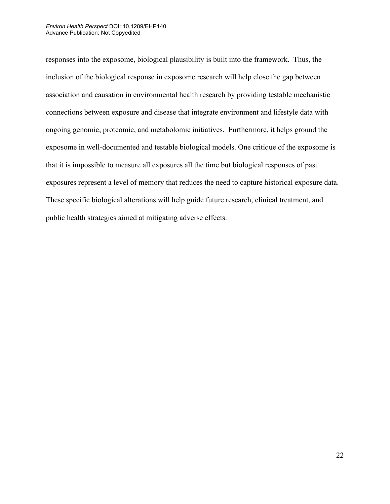#### *Environ Health Perspect* DOI: 10.1289/EHP140 Advance Publication: Not Copyedited

responses into the exposome, biological plausibility is built into the framework. Thus, the inclusion of the biological response in exposome research will help close the gap between association and causation in environmental health research by providing testable mechanistic connections between exposure and disease that integrate environment and lifestyle data with ongoing genomic, proteomic, and metabolomic initiatives. Furthermore, it helps ground the exposome in well-documented and testable biological models. One critique of the exposome is that it is impossible to measure all exposures all the time but biological responses of past exposures represent a level of memory that reduces the need to capture historical exposure data. These specific biological alterations will help guide future research, clinical treatment, and public health strategies aimed at mitigating adverse effects.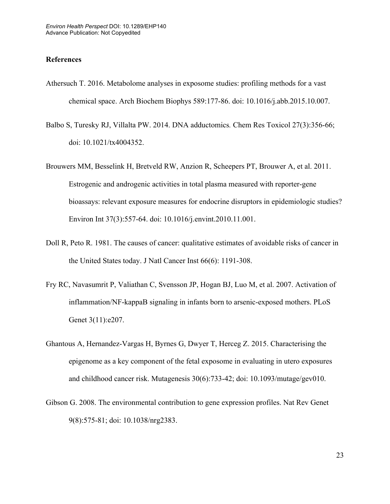## **References**

- Athersuch T. 2016. Metabolome analyses in exposome studies: profiling methods for a vast chemical space. Arch Biochem Biophys 589:177-86. doi: 10.1016/j.abb.2015.10.007.
- Balbo S, Turesky RJ, Villalta PW. 2014. DNA adductomics*.* Chem Res Toxicol 27(3):356-66; doi: 10.1021/tx4004352.
- Brouwers MM, Besselink H, Bretveld RW, Anzion R, Scheepers PT, Brouwer A, et al. 2011. Estrogenic and androgenic activities in total plasma measured with reporter-gene bioassays: relevant exposure measures for endocrine disruptors in epidemiologic studies? Environ Int 37(3):557-64. doi: 10.1016/j.envint.2010.11.001.
- Doll R, Peto R. 1981. The causes of cancer: qualitative estimates of avoidable risks of cancer in the United States today. J Natl Cancer Inst 66(6): 1191-308.
- Fry RC, Navasumrit P, Valiathan C, Svensson JP, Hogan BJ, Luo M, et al. 2007. Activation of inflammation/NF-kappaB signaling in infants born to arsenic-exposed mothers. PLoS Genet 3(11):e207.
- Ghantous A, Hernandez-Vargas H, Byrnes G, Dwyer T, Herceg Z. 2015. Characterising the epigenome as a key component of the fetal exposome in evaluating in utero exposures and childhood cancer risk. Mutagenesis 30(6):733-42; doi: 10.1093/mutage/gev010.
- Gibson G. 2008. The environmental contribution to gene expression profiles. Nat Rev Genet 9(8):575-81; doi: 10.1038/nrg2383.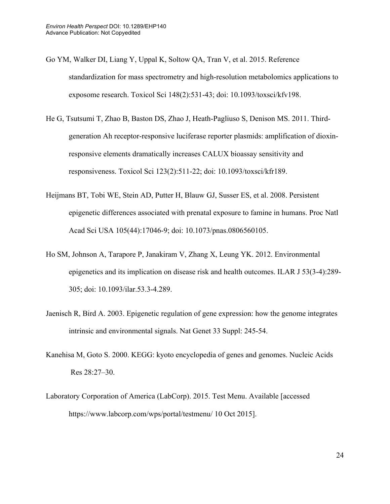- Go YM, Walker DI, Liang Y, Uppal K, Soltow QA, Tran V, et al. 2015. Reference standardization for mass spectrometry and high-resolution metabolomics applications to exposome research. Toxicol Sci 148(2):531-43; doi: 10.1093/toxsci/kfv198.
- He G, Tsutsumi T, Zhao B, Baston DS, Zhao J, Heath-Pagliuso S, Denison MS. 2011. Thirdgeneration Ah receptor-responsive luciferase reporter plasmids: amplification of dioxinresponsive elements dramatically increases CALUX bioassay sensitivity and responsiveness. Toxicol Sci 123(2):511-22; doi: 10.1093/toxsci/kfr189.
- Heijmans BT, Tobi WE, Stein AD, Putter H, Blauw GJ, Susser ES, et al. 2008. Persistent epigenetic differences associated with prenatal exposure to famine in humans. Proc Natl Acad Sci USA 105(44):17046-9; doi: 10.1073/pnas.0806560105.
- Ho SM, Johnson A, Tarapore P, Janakiram V, Zhang X, Leung YK. 2012. Environmental epigenetics and its implication on disease risk and health outcomes. ILAR J 53(3-4):289- 305; doi: 10.1093/ilar.53.3-4.289.
- Jaenisch R, Bird A. 2003. Epigenetic regulation of gene expression: how the genome integrates intrinsic and environmental signals. Nat Genet 33 Suppl: 245-54.
- Kanehisa M, Goto S. 2000. KEGG: kyoto encyclopedia of genes and genomes. Nucleic Acids Res 28:27–30.
- Laboratory Corporation of America (LabCorp). 2015. Test Menu. Available [accessed https://www.labcorp.com/wps/portal/testmenu/ 10 Oct 2015].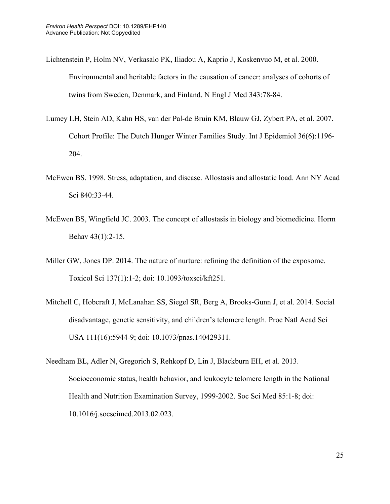- Lichtenstein P, Holm NV, Verkasalo PK, Iliadou A, Kaprio J, Koskenvuo M, et al. 2000. Environmental and heritable factors in the causation of cancer: analyses of cohorts of twins from Sweden, Denmark, and Finland. N Engl J Med 343:78-84.
- Lumey LH, Stein AD, Kahn HS, van der Pal-de Bruin KM, Blauw GJ, Zybert PA, et al. 2007. Cohort Profile: The Dutch Hunger Winter Families Study. Int J Epidemiol 36(6):1196- 204.
- McEwen BS. 1998. Stress, adaptation, and disease. Allostasis and allostatic load. Ann NY Acad Sci 840:33-44.
- McEwen BS, Wingfield JC. 2003. The concept of allostasis in biology and biomedicine. Horm Behav 43(1):2-15.
- Miller GW, Jones DP. 2014. The nature of nurture: refining the definition of the exposome. Toxicol Sci 137(1):1-2; doi: 10.1093/toxsci/kft251.
- Mitchell C, Hobcraft J, McLanahan SS, Siegel SR, Berg A, Brooks-Gunn J, et al. 2014. Social disadvantage, genetic sensitivity, and children's telomere length. Proc Natl Acad Sci USA 111(16):5944-9; doi: 10.1073/pnas.140429311.
- Needham BL, Adler N, Gregorich S, Rehkopf D, Lin J, Blackburn EH, et al. 2013. Socioeconomic status, health behavior, and leukocyte telomere length in the National Health and Nutrition Examination Survey, 1999-2002. Soc Sci Med 85:1-8; doi: 10.1016/j.socscimed.2013.02.023.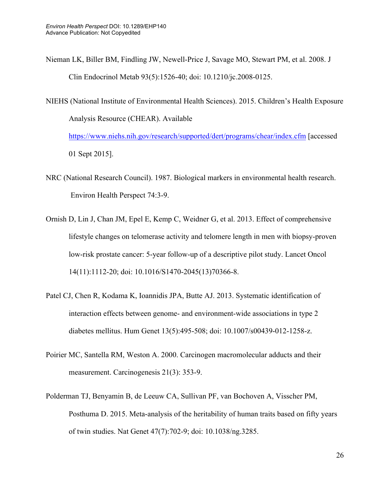- Nieman LK, Biller BM, Findling JW, Newell-Price J, Savage MO, Stewart PM, et al. 2008. J Clin Endocrinol Metab 93(5):1526-40; doi: 10.1210/jc.2008-0125.
- NIEHS (National Institute of Environmental Health Sciences). 2015. Children's Health Exposure Analysis Resource (CHEAR). Available https://www.niehs.nih.gov/research/supported/dert/programs/chear/index.cfm [accessed

01 Sept 2015].

- NRC (National Research Council). 1987. Biological markers in environmental health research. Environ Health Perspect 74:3-9.
- Ornish D, Lin J, Chan JM, Epel E, Kemp C, Weidner G, et al. 2013. Effect of comprehensive lifestyle changes on telomerase activity and telomere length in men with biopsy-proven low-risk prostate cancer: 5-year follow-up of a descriptive pilot study. Lancet Oncol 14(11):1112-20; doi: 10.1016/S1470-2045(13)70366-8.
- Patel CJ, Chen R, Kodama K, Ioannidis JPA, Butte AJ. 2013. Systematic identification of interaction effects between genome- and environment-wide associations in type 2 diabetes mellitus. Hum Genet 13(5):495-508; doi: 10.1007/s00439-012-1258-z.
- Poirier MC, Santella RM, Weston A. 2000. Carcinogen macromolecular adducts and their measurement. Carcinogenesis 21(3): 353-9.
- Polderman TJ, Benyamin B, de Leeuw CA, Sullivan PF, van Bochoven A, Visscher PM, Posthuma D. 2015. Meta-analysis of the heritability of human traits based on fifty years of twin studies. Nat Genet 47(7):702-9; doi: 10.1038/ng.3285.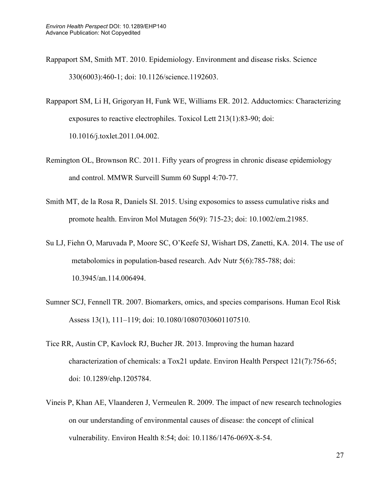- Rappaport SM, Smith MT. 2010. Epidemiology. Environment and disease risks. Science 330(6003):460-1; doi: 10.1126/science.1192603.
- Rappaport SM, Li H, Grigoryan H, Funk WE, Williams ER. 2012. Adductomics: Characterizing exposures to reactive electrophiles. Toxicol Lett 213(1):83-90; doi: 10.1016/j.toxlet.2011.04.002.
- Remington OL, Brownson RC. 2011. Fifty years of progress in chronic disease epidemiology and control. MMWR Surveill Summ 60 Suppl 4:70-77.
- Smith MT, de la Rosa R, Daniels SI. 2015. Using exposomics to assess cumulative risks and promote health. Environ Mol Mutagen 56(9): 715-23; doi: 10.1002/em.21985.
- Su LJ, Fiehn O, Maruvada P, Moore SC, O'Keefe SJ, Wishart DS, Zanetti, KA. 2014. The use of metabolomics in population-based research. Adv Nutr 5(6):785-788; doi: 10.3945/an.114.006494.
- Sumner SCJ, Fennell TR. 2007. Biomarkers, omics, and species comparisons. Human Ecol Risk Assess 13(1), 111–119; doi: 10.1080/10807030601107510.
- Tice RR, Austin CP, Kavlock RJ, Bucher JR. 2013. Improving the human hazard characterization of chemicals: a Tox21 update. Environ Health Perspect 121(7):756-65; doi: 10.1289/ehp.1205784.
- Vineis P, Khan AE, Vlaanderen J, Vermeulen R. 2009. The impact of new research technologies on our understanding of environmental causes of disease: the concept of clinical vulnerability. Environ Health 8:54; doi: 10.1186/1476-069X-8-54.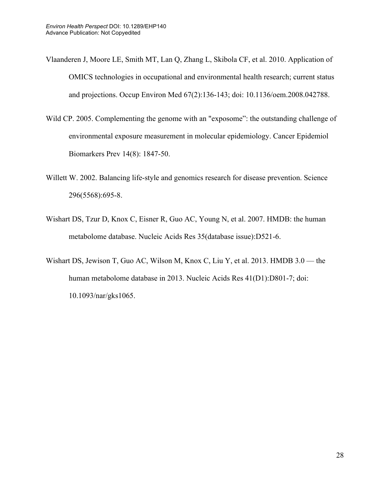- Vlaanderen J, Moore LE, Smith MT, Lan Q, Zhang L, Skibola CF, et al. 2010. Application of OMICS technologies in occupational and environmental health research; current status and projections. Occup Environ Med 67(2):136-143; doi: 10.1136/oem.2008.042788.
- Wild CP. 2005. Complementing the genome with an "exposome": the outstanding challenge of environmental exposure measurement in molecular epidemiology. Cancer Epidemiol Biomarkers Prev 14(8): 1847-50.
- Willett W. 2002. Balancing life-style and genomics research for disease prevention. Science 296(5568):695-8.
- Wishart DS, Tzur D, Knox C, Eisner R, Guo AC, Young N, et al. 2007. HMDB: the human metabolome database. Nucleic Acids Res 35(database issue):D521-6.
- Wishart DS, Jewison T, Guo AC, Wilson M, Knox C, Liu Y, et al. 2013. HMDB 3.0 the human metabolome database in 2013. Nucleic Acids Res 41(D1):D801-7; doi: 10.1093/nar/gks1065.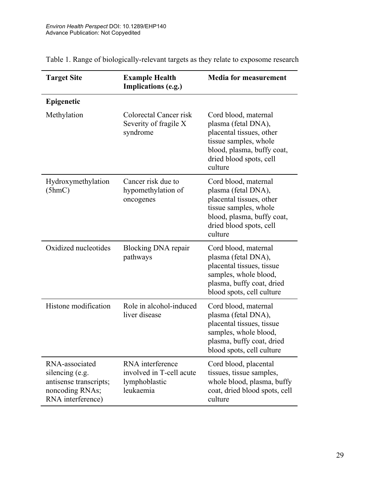| <b>Target Site</b>                                                                                  | <b>Example Health</b><br>Implications (e.g.)                               | <b>Media for measurement</b>                                                                                                                                         |
|-----------------------------------------------------------------------------------------------------|----------------------------------------------------------------------------|----------------------------------------------------------------------------------------------------------------------------------------------------------------------|
| Epigenetic                                                                                          |                                                                            |                                                                                                                                                                      |
| Methylation                                                                                         | Colorectal Cancer risk<br>Severity of fragile X<br>syndrome                | Cord blood, maternal<br>plasma (fetal DNA),<br>placental tissues, other<br>tissue samples, whole<br>blood, plasma, buffy coat,<br>dried blood spots, cell<br>culture |
| Hydroxymethylation<br>(5hmC)                                                                        | Cancer risk due to<br>hypomethylation of<br>oncogenes                      | Cord blood, maternal<br>plasma (fetal DNA),<br>placental tissues, other<br>tissue samples, whole<br>blood, plasma, buffy coat,<br>dried blood spots, cell<br>culture |
| Oxidized nucleotides                                                                                | Blocking DNA repair<br>pathways                                            | Cord blood, maternal<br>plasma (fetal DNA),<br>placental tissues, tissue<br>samples, whole blood,<br>plasma, buffy coat, dried<br>blood spots, cell culture          |
| Histone modification                                                                                | Role in alcohol-induced<br>liver disease                                   | Cord blood, maternal<br>plasma (fetal DNA),<br>placental tissues, tissue<br>samples, whole blood,<br>plasma, buffy coat, dried<br>blood spots, cell culture          |
| RNA-associated<br>silencing (e.g.<br>antisense transcripts;<br>noncoding RNAs;<br>RNA interference) | RNA interference<br>involved in T-cell acute<br>lymphoblastic<br>leukaemia | Cord blood, placental<br>tissues, tissue samples,<br>whole blood, plasma, buffy<br>coat, dried blood spots, cell<br>culture                                          |

Table 1. Range of biologically-relevant targets as they relate to exposome research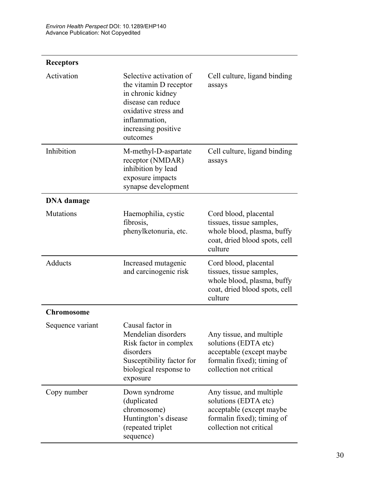| <b>Receptors</b>  |                                                                                                                                                                          |                                                                                                                                       |
|-------------------|--------------------------------------------------------------------------------------------------------------------------------------------------------------------------|---------------------------------------------------------------------------------------------------------------------------------------|
| Activation        | Selective activation of<br>the vitamin D receptor<br>in chronic kidney<br>disease can reduce<br>oxidative stress and<br>inflammation,<br>increasing positive<br>outcomes | Cell culture, ligand binding<br>assays                                                                                                |
| Inhibition        | M-methyl-D-aspartate<br>receptor (NMDAR)<br>inhibition by lead<br>exposure impacts<br>synapse development                                                                | Cell culture, ligand binding<br>assays                                                                                                |
| <b>DNA</b> damage |                                                                                                                                                                          |                                                                                                                                       |
| <b>Mutations</b>  | Haemophilia, cystic<br>fibrosis,<br>phenylketonuria, etc.                                                                                                                | Cord blood, placental<br>tissues, tissue samples,<br>whole blood, plasma, buffy<br>coat, dried blood spots, cell<br>culture           |
| Adducts           | Increased mutagenic<br>and carcinogenic risk                                                                                                                             | Cord blood, placental<br>tissues, tissue samples,<br>whole blood, plasma, buffy<br>coat, dried blood spots, cell<br>culture           |
| <b>Chromosome</b> |                                                                                                                                                                          |                                                                                                                                       |
| Sequence variant  | Causal factor in<br>Mendelian disorders<br>Risk factor in complex<br>disorders<br>Susceptibility factor for<br>biological response to<br>exposure                        | Any tissue, and multiple<br>solutions (EDTA etc)<br>acceptable (except maybe<br>formalin fixed); timing of<br>collection not critical |
| Copy number       | Down syndrome<br>(duplicated<br>chromosome)<br>Huntington's disease<br>(repeated triplet<br>sequence)                                                                    | Any tissue, and multiple<br>solutions (EDTA etc)<br>acceptable (except maybe<br>formalin fixed); timing of<br>collection not critical |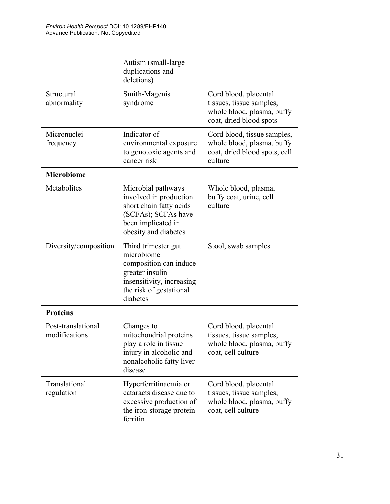| Autism (small-large)<br>duplications and<br>deletions)                                                                                             |                                                                                                            |
|----------------------------------------------------------------------------------------------------------------------------------------------------|------------------------------------------------------------------------------------------------------------|
| Smith-Magenis<br>syndrome                                                                                                                          | Cord blood, placental<br>tissues, tissue samples,<br>whole blood, plasma, buffy<br>coat, dried blood spots |
| Indicator of<br>environmental exposure<br>to genotoxic agents and<br>cancer risk                                                                   | Cord blood, tissue samples,<br>whole blood, plasma, buffy<br>coat, dried blood spots, cell<br>culture      |
|                                                                                                                                                    |                                                                                                            |
| Microbial pathways<br>involved in production<br>short chain fatty acids<br>(SCFAs); SCFAs have<br>been implicated in<br>obesity and diabetes       | Whole blood, plasma,<br>buffy coat, urine, cell<br>culture                                                 |
| Third trimester gut<br>microbiome<br>composition can induce<br>greater insulin<br>insensitivity, increasing<br>the risk of gestational<br>diabetes | Stool, swab samples                                                                                        |
|                                                                                                                                                    |                                                                                                            |
| Changes to<br>mitochondrial proteins<br>play a role in tissue<br>injury in alcoholic and<br>nonalcoholic fatty liver<br>disease                    | Cord blood, placental<br>tissues, tissue samples<br>whole blood, plasma, buffy<br>coat, cell culture       |
| Hyperferritinaemia or<br>cataracts disease due to<br>excessive production of<br>the iron-storage protein<br>ferritin                               | Cord blood, placental<br>tissues, tissue samples,<br>whole blood, plasma, buffy<br>coat, cell culture      |
|                                                                                                                                                    |                                                                                                            |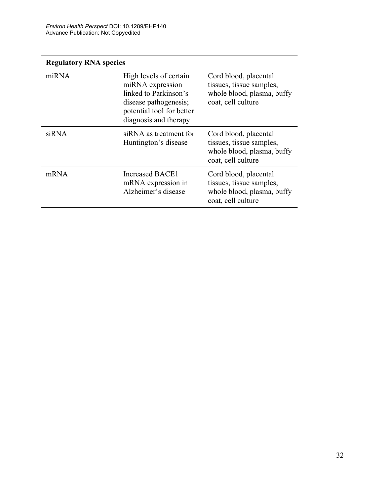## **Regulatory RNA species**

| miRNA | High levels of certain<br>miRNA expression<br>linked to Parkinson's<br>disease pathogenesis;<br>potential tool for better<br>diagnosis and therapy | Cord blood, placental<br>tissues, tissue samples,<br>whole blood, plasma, buffy<br>coat, cell culture |
|-------|----------------------------------------------------------------------------------------------------------------------------------------------------|-------------------------------------------------------------------------------------------------------|
| siRNA | siRNA as treatment for<br>Huntington's disease                                                                                                     | Cord blood, placental<br>tissues, tissue samples,<br>whole blood, plasma, buffy<br>coat, cell culture |
| mRNA  | <b>Increased BACE1</b><br>mRNA expression in<br>Alzheimer's disease                                                                                | Cord blood, placental<br>tissues, tissue samples,<br>whole blood, plasma, buffy<br>coat, cell culture |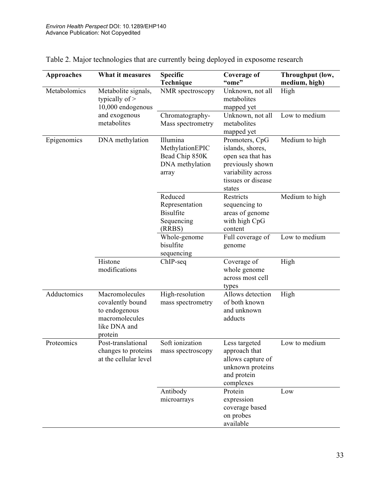| <b>Approaches</b> | What it measures                                                                                 | <b>Specific</b><br>Technique                                              | Coverage of<br>"ome"                                                                                                              | Throughput (low,<br>medium, high) |
|-------------------|--------------------------------------------------------------------------------------------------|---------------------------------------------------------------------------|-----------------------------------------------------------------------------------------------------------------------------------|-----------------------------------|
| Metabolomics      | Metabolite signals,<br>typically of $>$<br>10,000 endogenous<br>and exogenous<br>metabolites     | NMR spectroscopy                                                          | Unknown, not all<br>metabolites<br>mapped yet                                                                                     | High                              |
|                   |                                                                                                  | Chromatography-<br>Mass spectrometry                                      | Unknown, not all<br>metabolites<br>mapped yet                                                                                     | Low to medium                     |
| Epigenomics       | DNA methylation                                                                                  | Illumina<br>MethylationEPIC<br>Bead Chip 850K<br>DNA methylation<br>array | Promoters, CpG<br>islands, shores,<br>open sea that has<br>previously shown<br>variability across<br>tissues or disease<br>states | Medium to high                    |
|                   |                                                                                                  | Reduced<br>Representation<br><b>Bisulfite</b><br>Sequencing<br>(RRBS)     | Restricts<br>sequencing to<br>areas of genome<br>with high CpG<br>content                                                         | Medium to high                    |
|                   |                                                                                                  | Whole-genome<br>bisulfite<br>sequencing                                   | Full coverage of<br>genome                                                                                                        | Low to medium                     |
|                   | Histone<br>modifications                                                                         | ChIP-seq                                                                  | Coverage of<br>whole genome<br>across most cell<br>types                                                                          | High                              |
| Adductomics       | Macromolecules<br>covalently bound<br>to endogenous<br>macromolecules<br>like DNA and<br>protein | High-resolution<br>mass spectrometry                                      | Allows detection<br>of both known<br>and unknown<br>adducts                                                                       | High                              |
| Proteomics        | Post-translational<br>changes to proteins<br>at the cellular level                               | Soft ionization<br>mass spectroscopy                                      | Less targeted<br>approach that<br>allows capture of<br>unknown proteins<br>and protein<br>complexes                               | Low to medium                     |
|                   |                                                                                                  | Antibody<br>microarrays                                                   | Protein<br>expression<br>coverage based<br>on probes<br>available                                                                 | Low                               |

Table 2. Major technologies that are currently being deployed in exposome research